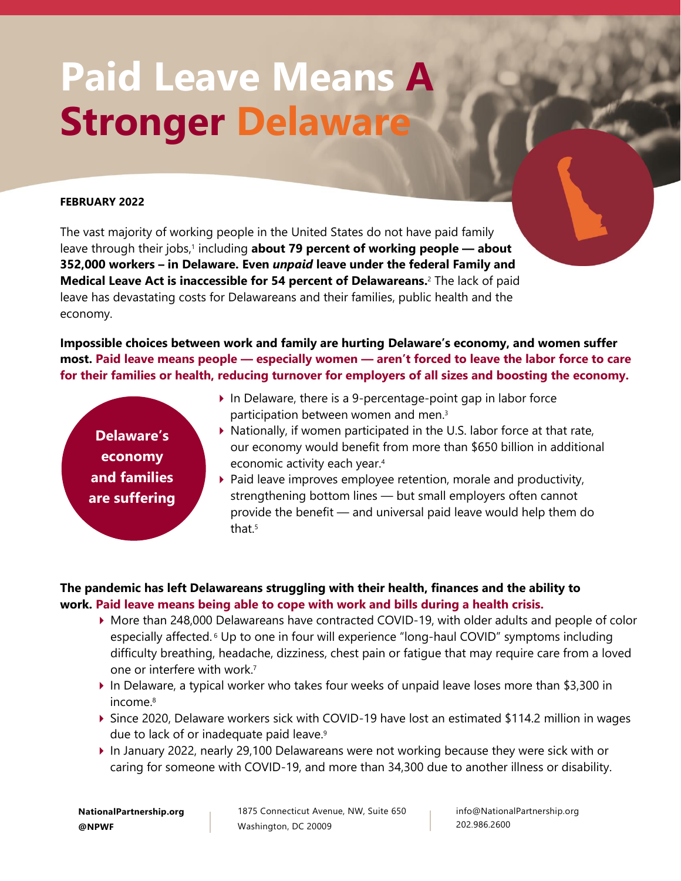# **Paid Leave Means A Stronger Delaware**

#### **FEBRUARY 2022**

The vast majority of working people in the United States do not have paid family leave through their jobs,<sup>1</sup> including about 79 percent of working people – about **352,000 workers – in Delaware. Even** *unpaid* **leave under the federal Family and Medical Leave Act is inaccessible for 54 percent of Delawareans.** <sup>2</sup> The lack of paid leave has devastating costs for Delawareans and their families, public health and the economy.

**Impossible choices between work and family are hurting Delaware's economy, and women suffer most. Paid leave means people — especially women — aren't forced to leave the labor force to care for their families or health, reducing turnover for employers of all sizes and boosting the economy.**

**Delaware's economy and families are suffering**

- $\blacktriangleright$  In Delaware, there is a 9-percentage-point gap in labor force participation between women and men. 3
- $\triangleright$  Nationally, if women participated in the U.S. labor force at that rate, our economy would benefit from more than \$650 billion in additional economic activity each year.<sup>4</sup>
- $\triangleright$  Paid leave improves employee retention, morale and productivity, strengthening bottom lines — but small employers often cannot provide the benefit — and universal paid leave would help them do that. 5

### **The pandemic has left Delawareans struggling with their health, finances and the ability to work. Paid leave means being able to cope with work and bills during a health crisis.**

- More than 248,000 Delawareans have contracted COVID-19, with older adults and people of color especially affected. <sup>6</sup> Up to one in four will experience "long-haul COVID" symptoms including difficulty breathing, headache, dizziness, chest pain or fatigue that may require care from a loved one or interfere with work.<sup>7</sup>
- In Delaware, a typical worker who takes four weeks of unpaid leave loses more than \$3,300 in income.<sup>8</sup>
- Since 2020, Delaware workers sick with COVID-19 have lost an estimated \$114.2 million in wages due to lack of or inadequate paid leave.<sup>9</sup>
- In January 2022, nearly 29,100 Delawareans were not working because they were sick with or caring for someone with COVID-19, and more than 34,300 due to another illness or disability.

1875 Connecticut Avenue, NW, Suite 650 Washington, DC 20009

info@NationalPartnership.org 202.986.2600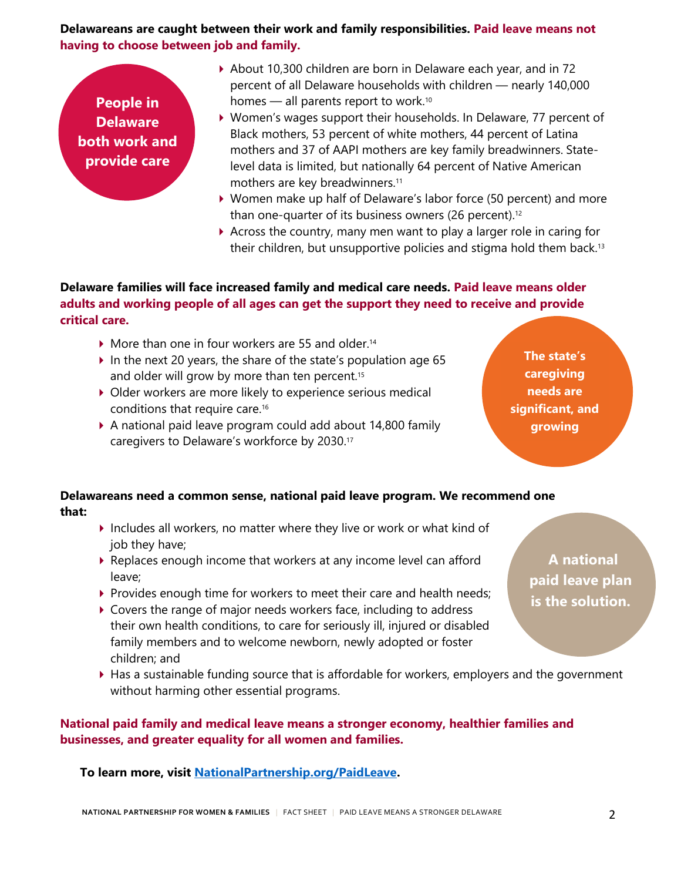#### **Delawareans are caught between their work and family responsibilities. Paid leave means not having to choose between job and family.**

**People in Delaware both work and provide care**

- About 10,300 children are born in Delaware each year, and in 72 percent of all Delaware households with children — nearly 140,000 homes — all parents report to work. 10
- Women's wages support their households. In Delaware, 77 percent of Black mothers, 53 percent of white mothers, 44 percent of Latina mothers and 37 of AAPI mothers are key family breadwinners. Statelevel data is limited, but nationally 64 percent of Native American mothers are key breadwinners.<sup>11</sup>
- Women make up half of Delaware's labor force (50 percent) and more than one-quarter of its business owners (26 percent).<sup>12</sup>
- Across the country, many men want to play a larger role in caring for their children, but unsupportive policies and stigma hold them back.<sup>13</sup>

### **Delaware families will face increased family and medical care needs. Paid leave means older adults and working people of all ages can get the support they need to receive and provide critical care.**

- $\blacktriangleright$  More than one in four workers are 55 and older.<sup>14</sup>
- In the next 20 years, the share of the state's population age 65 and older will grow by more than ten percent. 15
- Older workers are more likely to experience serious medical conditions that require care.<sup>16</sup>
- A national paid leave program could add about 14,800 family caregivers to Delaware's workforce by 2030.<sup>17</sup>

**The state's caregiving needs are significant, and growing**

## **Delawareans need a common sense, national paid leave program. We recommend one that:**

- $\blacktriangleright$  Includes all workers, no matter where they live or work or what kind of job they have;
- Replaces enough income that workers at any income level can afford leave;
- $\triangleright$  Provides enough time for workers to meet their care and health needs;
- Covers the range of major needs workers face, including to address their own health conditions, to care for seriously ill, injured or disabled family members and to welcome newborn, newly adopted or foster children; and
- Has a sustainable funding source that is affordable for workers, employers and the government without harming other essential programs.

## **National paid family and medical leave means a stronger economy, healthier families and businesses, and greater equality for all women and families.**

**To learn more, visit [NationalPartnership.org/PaidLeave.](https://www.nationalpartnership.org/our-work/economic-justice/paid-leave.html)**

**A national paid leave plan is the solution.**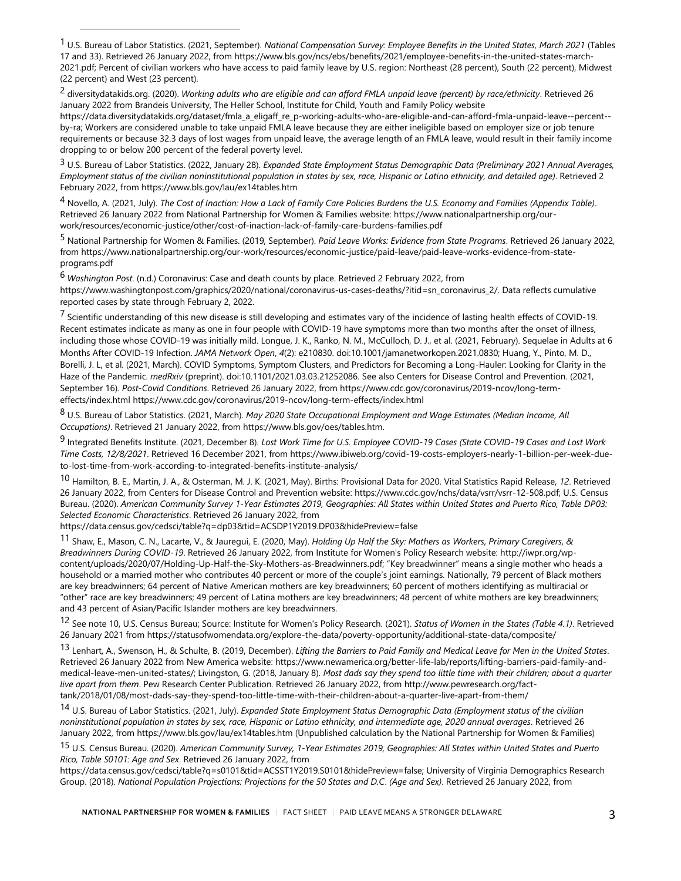2 diversitydatakids.org. (2020). *Working adults who are eligible and can afford FMLA unpaid leave (percent) by race/ethnicity*. Retrieved 26 January 2022 from Brandeis University, The Heller School, Institute for Child, Youth and Family Policy website https://data.diversitydatakids.org/dataset/fmla\_a\_eligaff\_re\_p-working-adults-who-are-eligible-and-can-afford-fmla-unpaid-leave--percent- by-ra; Workers are considered unable to take unpaid FMLA leave because they are either ineligible based on employer size or job tenure requirements or because 32.3 days of lost wages from unpaid leave, the average length of an FMLA leave, would result in their family income dropping to or below 200 percent of the federal poverty level.

3 U.S. Bureau of Labor Statistics. (2022, January 28). *Expanded State Employment Status Demographic Data (Preliminary 2021 Annual Averages, Employment status of the civilian noninstitutional population in states by sex, race, Hispanic or Latino ethnicity, and detailed age)*. Retrieved 2 February 2022, from https://www.bls.gov/lau/ex14tables.htm

4 Novello, A. (2021, July). *The Cost of Inaction: How a Lack of Family Care Policies Burdens the U.S. Economy and Families (Appendix Table)*. Retrieved 26 January 2022 from National Partnership for Women & Families website: https://www.nationalpartnership.org/ourwork/resources/economic-justice/other/cost-of-inaction-lack-of-family-care-burdens-families.pdf

5 National Partnership for Women & Families. (2019, September). *Paid Leave Works: Evidence from State Programs*. Retrieved 26 January 2022, from https://www.nationalpartnership.org/our-work/resources/economic-justice/paid-leave/paid-leave-works-evidence-from-stateprograms.pdf

6 *Washington Post*. (n.d.) Coronavirus: Case and death counts by place. Retrieved 2 February 2022, from https://www.washingtonpost.com/graphics/2020/national/coronavirus-us-cases-deaths/?itid=sn\_coronavirus\_2/. Data reflects cumulative reported cases by state through February 2, 2022.

7 Scientific understanding of this new disease is still developing and estimates vary of the incidence of lasting health effects of COVID-19. Recent estimates indicate as many as one in four people with COVID-19 have symptoms more than two months after the onset of illness, including those whose COVID-19 was initially mild. Longue, J. K., Ranko, N. M., McCulloch, D. J., et al. (2021, February). Sequelae in Adults at 6 Months After COVID-19 Infection. *JAMA Network Open*, *4*(2): e210830. doi:10.1001/jamanetworkopen.2021.0830; Huang, Y., Pinto, M. D., Borelli, J. L, et al. (2021, March). COVID Symptoms, Symptom Clusters, and Predictors for Becoming a Long-Hauler: Looking for Clarity in the Haze of the Pandemic. *medRxiv* (preprint). doi:10.1101/2021.03.03.21252086. See also Centers for Disease Control and Prevention. (2021, September 16). *Post-Covid Conditions*. Retrieved 26 January 2022, from https://www.cdc.gov/coronavirus/2019-ncov/long-termeffects/index.html https://www.cdc.gov/coronavirus/2019-ncov/long-term-effects/index.html

8 U.S. Bureau of Labor Statistics. (2021, March). *May 2020 State Occupational Employment and Wage Estimates (Median Income, All Occupations)*. Retrieved 21 January 2022, from https://www.bls.gov/oes/tables.htm.

9 Integrated Benefits Institute. (2021, December 8). *Lost Work Time for U.S. Employee COVID-19 Cases (State COVID-19 Cases and Lost Work Time Costs, 12/8/2021*. Retrieved 16 December 2021, from https://www.ibiweb.org/covid-19-costs-employers-nearly-1-billion-per-week-dueto-lost-time-from-work-according-to-integrated-benefits-institute-analysis/

10 Hamilton, B. E., Martin, J. A., & Osterman, M. J. K. (2021, May). Births: Provisional Data for 2020. Vital Statistics Rapid Release, *12*. Retrieved 26 January 2022, from Centers for Disease Control and Prevention website: https://www.cdc.gov/nchs/data/vsrr/vsrr-12-508.pdf; U.S. Census Bureau. (2020). *American Community Survey 1-Year Estimates 2019, Geographies: All States within United States and Puerto Rico, Table DP03: Selected Economic Characteristics*. Retrieved 26 January 2022, from

https://data.census.gov/cedsci/table?q=dp03&tid=ACSDP1Y2019.DP03&hidePreview=false

11 Shaw, E., Mason, C. N., Lacarte, V., & Jauregui, E. (2020, May). *Holding Up Half the Sky: Mothers as Workers, Primary Caregivers, & Breadwinners During COVID-19*. Retrieved 26 January 2022, from Institute for Women's Policy Research website: http://iwpr.org/wpcontent/uploads/2020/07/Holding-Up-Half-the-Sky-Mothers-as-Breadwinners.pdf; "Key breadwinner" means a single mother who heads a household or a married mother who contributes 40 percent or more of the couple's joint earnings. Nationally, 79 percent of Black mothers are key breadwinners; 64 percent of Native American mothers are key breadwinners; 60 percent of mothers identifying as multiracial or "other" race are key breadwinners; 49 percent of Latina mothers are key breadwinners; 48 percent of white mothers are key breadwinners; and 43 percent of Asian/Pacific Islander mothers are key breadwinners.

12 See note 10, U.S. Census Bureau; Source: Institute for Women's Policy Research. (2021). *Status of Women in the States (Table 4.1)*. Retrieved 26 January 2021 from https://statusofwomendata.org/explore-the-data/poverty-opportunity/additional-state-data/composite/

13 Lenhart, A., Swenson, H., & Schulte, B. (2019, December). *Lifting the Barriers to Paid Family and Medical Leave for Men in the United States*. Retrieved 26 January 2022 from New America website: https://www.newamerica.org/better-life-lab/reports/lifting-barriers-paid-family-andmedical-leave-men-united-states/; Livingston, G. (2018, January 8). *Most dads say they spend too little time with their children; about a quarter live apart from them*. Pew Research Center Publication. Retrieved 26 January 2022, from http://www.pewresearch.org/facttank/2018/01/08/most-dads-say-they-spend-too-little-time-with-their-children-about-a-quarter-live-apart-from-them/

14 U.S. Bureau of Labor Statistics. (2021, July). *Expanded State Employment Status Demographic Data (Employment status of the civilian noninstitutional population in states by sex, race, Hispanic or Latino ethnicity, and intermediate age, 2020 annual averages*. Retrieved 26 January 2022, from https://www.bls.gov/lau/ex14tables.htm (Unpublished calculation by the National Partnership for Women & Families)

15 U.S. Census Bureau. (2020). *American Community Survey, 1-Year Estimates 2019, Geographies: All States within United States and Puerto Rico, Table S0101: Age and Sex*. Retrieved 26 January 2022, from

https://data.census.gov/cedsci/table?q=s0101&tid=ACSST1Y2019.S0101&hidePreview=false; University of Virginia Demographics Research Group. (2018). *National Population Projections: Projections for the 50 States and D.C*. *(Age and Sex)*. Retrieved 26 January 2022, from

<sup>1</sup> U.S. Bureau of Labor Statistics. (2021, September). *National Compensation Survey: Employee Benefits in the United States, March 2021* (Tables 17 and 33). Retrieved 26 January 2022, from https://www.bls.gov/ncs/ebs/benefits/2021/employee-benefits-in-the-united-states-march-2021.pdf; Percent of civilian workers who have access to paid family leave by U.S. region: Northeast (28 percent), South (22 percent), Midwest (22 percent) and West (23 percent).